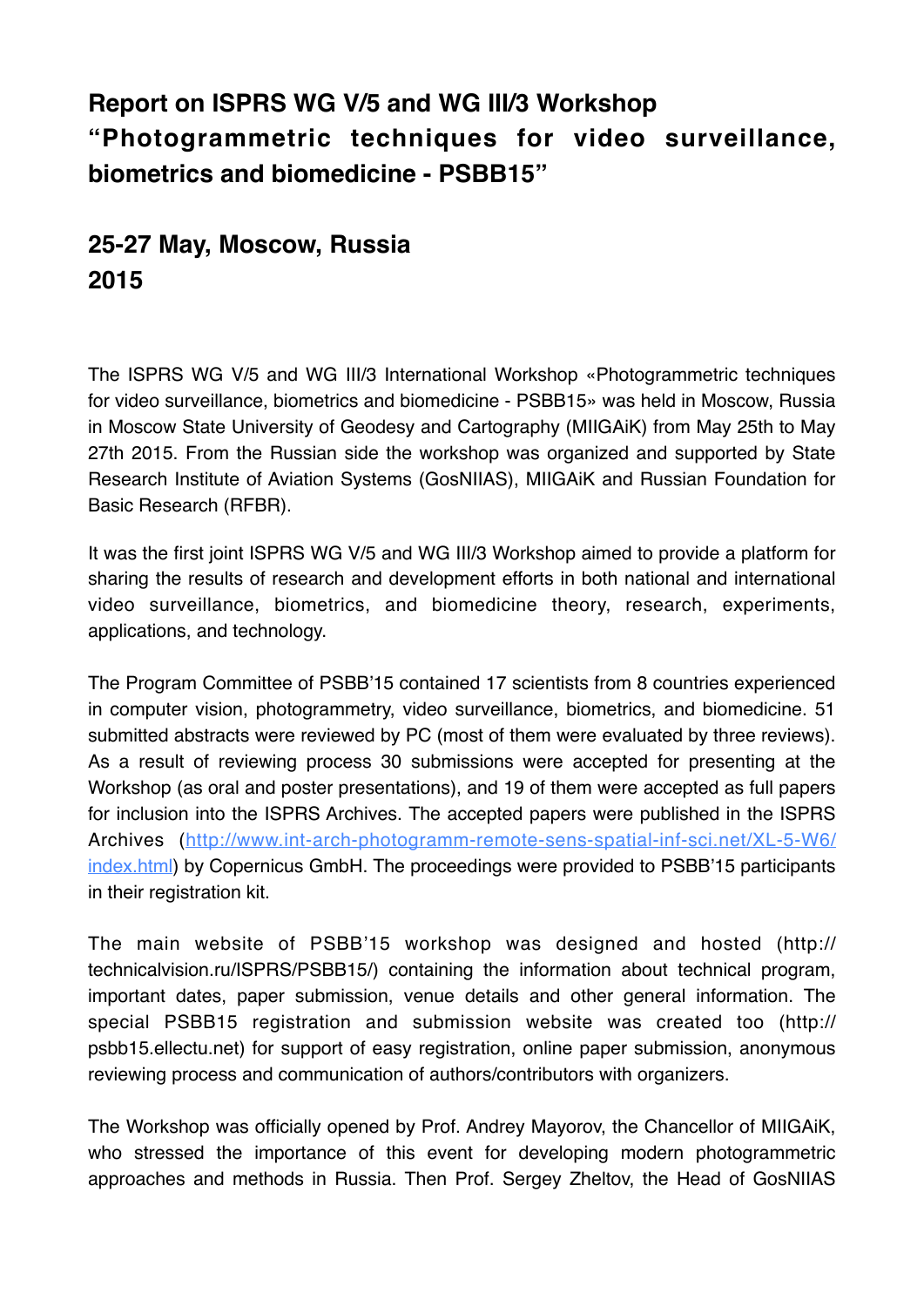## **Report on ISPRS WG V/5 and WG III/3 Workshop "Photogrammetric techniques for video surveillance, biometrics and biomedicine - PSBB15"**

## **25-27 May, Moscow, Russia 2015**

The ISPRS WG V/5 and WG III/3 International Workshop «Photogrammetric techniques for video surveillance, biometrics and biomedicine - PSBB15» was held in Moscow, Russia in Moscow State University of Geodesy and Cartography (MIIGAiK) from May 25th to May 27th 2015. From the Russian side the workshop was organized and supported by State Research Institute of Aviation Systems (GosNIIAS), MIIGAiK and Russian Foundation for Basic Research (RFBR).

It was the first joint ISPRS WG V/5 and WG III/3 Workshop aimed to provide a platform for sharing the results of research and development efforts in both national and international video surveillance, biometrics, and biomedicine theory, research, experiments, applications, and technology.

The Program Committee of PSBB'15 contained 17 scientists from 8 countries experienced in computer vision, photogrammetry, video surveillance, biometrics, and biomedicine. 51 submitted abstracts were reviewed by PC (most of them were evaluated by three reviews). As a result of reviewing process 30 submissions were accepted for presenting at the Workshop (as oral and poster presentations), and 19 of them were accepted as full papers for inclusion into the ISPRS Archives. The accepted papers were published in the ISPRS Archives (http://www.int-arch-photogramm-remote-sens-spatial-inf-sci.net/XL-5-W6/ [index.html\) by Copernicus GmbH. The proceedings were provided to PSBB'15 participants](http://www.int-arch-photogramm-remote-sens-spatial-inf-sci.net/XL-5-W6/index.html)  in their registration kit.

The main website of PSBB'15 workshop was designed and hosted (http:// technicalvision.ru/ISPRS/PSBB15/) containing the information about technical program, important dates, paper submission, venue details and other general information. The special PSBB15 registration and submission website was created too (http:// psbb15.ellectu.net) for support of easy registration, online paper submission, anonymous reviewing process and communication of authors/contributors with organizers.

The Workshop was officially opened by Prof. Andrey Mayorov, the Chancellor of MIIGAiK, who stressed the importance of this event for developing modern photogrammetric approaches and methods in Russia. Then Prof. Sergey Zheltov, the Head of GosNIIAS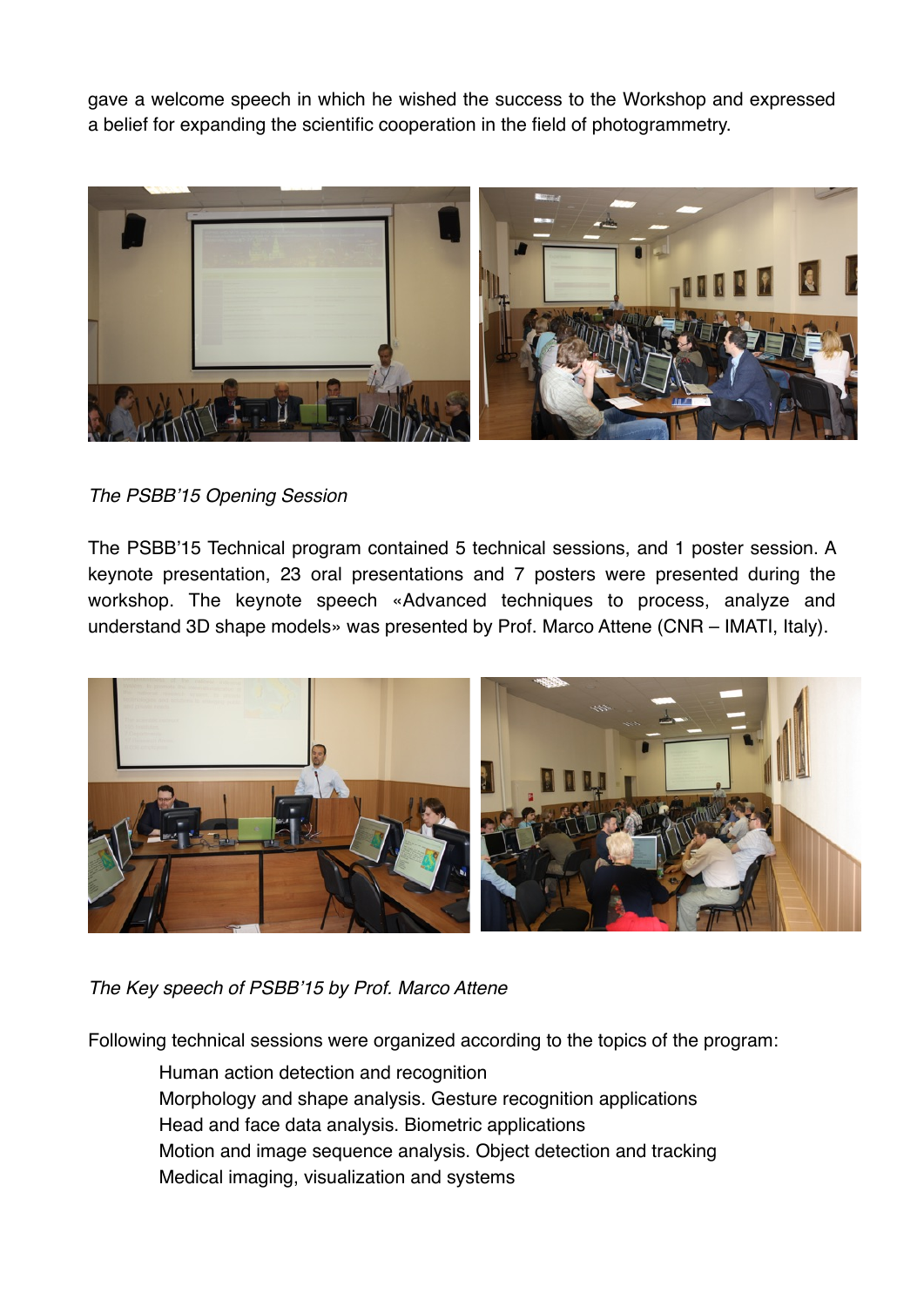gave a welcome speech in which he wished the success to the Workshop and expressed a belief for expanding the scientific cooperation in the field of photogrammetry.



## *The PSBB'15 Opening Session*

The PSBB'15 Technical program contained 5 technical sessions, and 1 poster session. A keynote presentation, 23 oral presentations and 7 posters were presented during the workshop. The keynote speech «Advanced techniques to process, analyze and understand 3D shape models» was presented by Prof. Marco Attene (CNR – IMATI, Italy).



*The Key speech of PSBB'15 by Prof. Marco Attene*

Following technical sessions were organized according to the topics of the program:

Human action detection and recognition Morphology and shape analysis. Gesture recognition applications Head and face data analysis. Biometric applications Motion and image sequence analysis. Object detection and tracking Medical imaging, visualization and systems